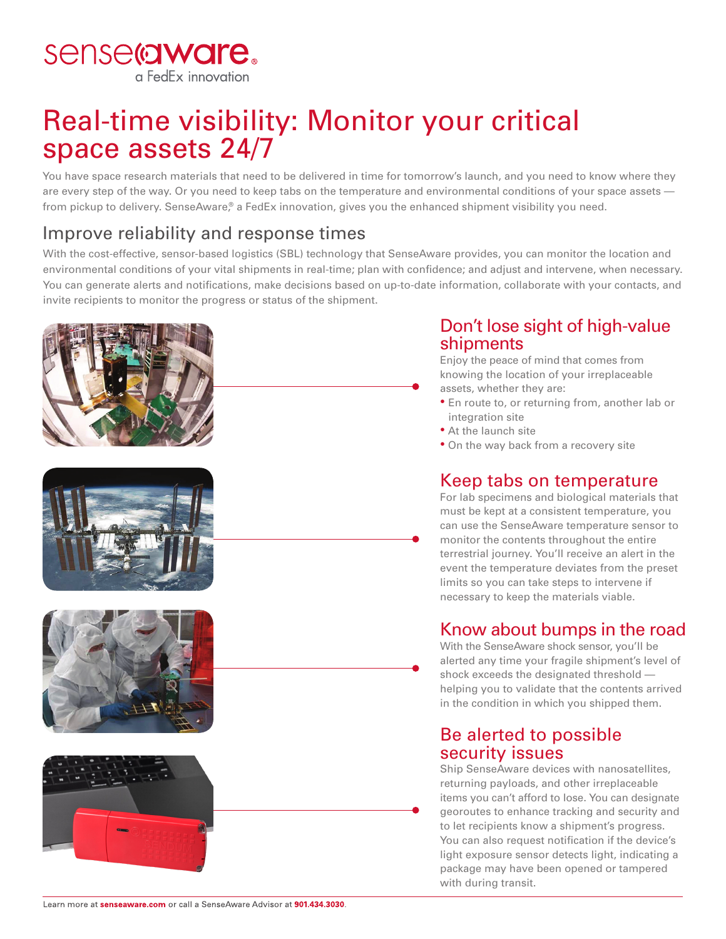

# Real-time visibility: Monitor your critical space assets 24/7

You have space research materials that need to be delivered in time for tomorrow's launch, and you need to know where they are every step of the way. Or you need to keep tabs on the temperature and environmental conditions of your space assets from pickup to delivery. SenseAware,<sup>®</sup> a FedEx innovation, gives you the enhanced shipment visibility you need.

## Improve reliability and response times

With the cost-effective, sensor-based logistics (SBL) technology that SenseAware provides, you can monitor the location and environmental conditions of your vital shipments in real-time; plan with confidence; and adjust and intervene, when necessary. You can generate alerts and notifications, make decisions based on up-to-date information, collaborate with your contacts, and invite recipients to monitor the progress or status of the shipment.









### Don't lose sight of high-value shipments

Enjoy the peace of mind that comes from knowing the location of your irreplaceable assets, whether they are:

- En route to, or returning from, another lab or integration site
- At the launch site
- On the way back from a recovery site

### Keep tabs on temperature

For lab specimens and biological materials that must be kept at a consistent temperature, you can use the SenseAware temperature sensor to monitor the contents throughout the entire terrestrial journey. You'll receive an alert in the event the temperature deviates from the preset limits so you can take steps to intervene if necessary to keep the materials viable.

### Know about bumps in the road

With the SenseAware shock sensor, you'll be alerted any time your fragile shipment's level of shock exceeds the designated threshold helping you to validate that the contents arrived in the condition in which you shipped them.

### Be alerted to possible security issues

Ship SenseAware devices with nanosatellites, returning payloads, and other irreplaceable items you can't afford to lose. You can designate georoutes to enhance tracking and security and to let recipients know a shipment's progress. You can also request notification if the device's light exposure sensor detects light, indicating a package may have been opened or tampered with during transit.